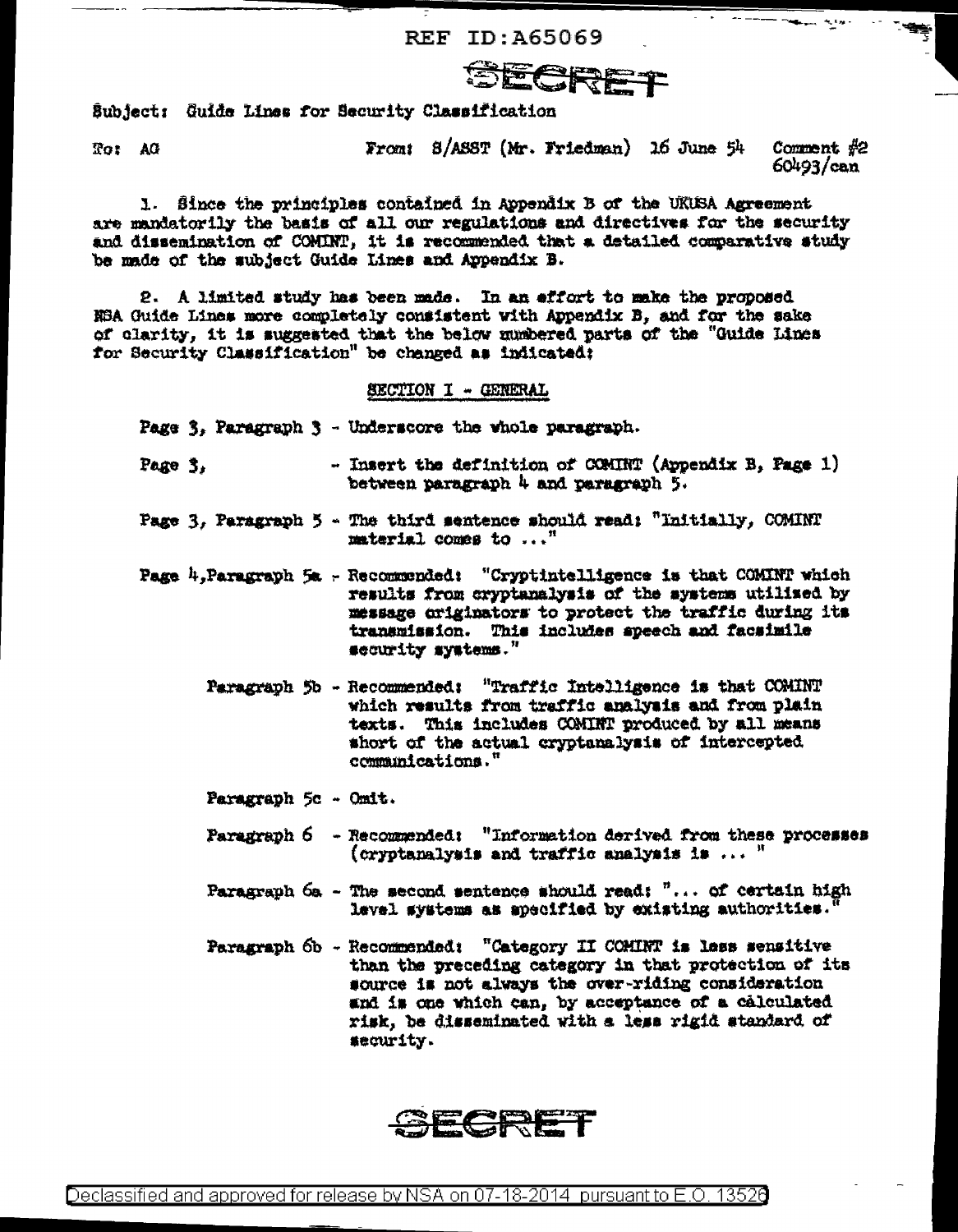REF ID: 465069



Subject: Guide Lines for Security Classification

To: AG

From: S/ASST (Mr. Friedman) 16 June 54 Comment  $#2$  $60493/can$ 

والمعالم المستعلقة

1. Since the principles contained in Appendix B of the UKUSA Agreement are mandatorily the basis of all our regulations and directives for the security and dissemination of COMINT, it is recommended that a detailed comparative study be made of the subject Guide Lines and Appendix B.

2. A limited study has been made. In an effort to make the proposed NSA Guide Lines more completely consistent with Appendix B, and for the sake of clarity, it is suggested that the below numbered parts of the "Guide Lines for Security Classification" be changed as indicated;

## SECTION I - GENERAL

Page 3, Paragraph 3 - Underscore the whole paragraph.

- Insert the definition of COMINT (Appendix B, Page 1) Page 3, between paragraph 4 and paragraph 5.
- Page 3, Paragraph 5 The third sentence should read: "Initially, COMINT material comes to  $\ldots$ "
- Page  $h$ , Paragraph  $5a$  Recommended: "Cryptintelligence is that COMINT which results from cryptanalysis of the systems utilized by message originators to protect the traffic during its transmission. This includes speech and facsimile security systems."
	- Paragraph 5b Recommended: "Traffic Intelligence is that COMINT which results from traffic analysis and from plain texts. This includes COMINT produced by all means short of the actual cryptanalysis of intercepted communications."
	- Paragraph 5c Omit.
	- Faragraph 6 Recommended: "Information derived from these processes (cryptanalysis and traffic analysis is  $\cdots$ "
	- Paragraph 6a The second sentence should read:  $\overline{r} \ldots$  of certain high lavel systems as apecified by existing authorities.
	- Paragraph 6b Recommended: "Category II COMINT is less sensitive than the preceding category in that protection of its source is not always the over-riding consideration and is one which can, by acceptance of a calculated risk, be disseminated with a less rigid standard of security.